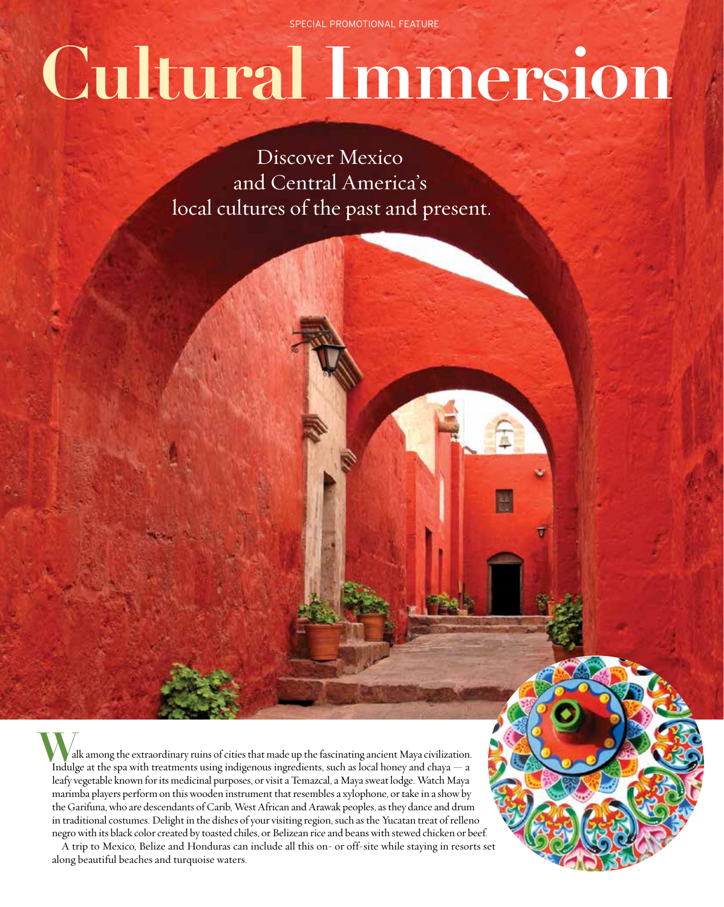SPECIAL PROMOTIONAL FEATURE

# **Cultural Immersion**

Discover Mexico and Central America's local cultures of the past and present.

 alk among the extraordinary ruins of cities that made up the fascinating ancient Maya civilization. Indulge at the spa with treatments using indigenous ingredients, such as local honey and chaya — a Indulge at the spa with treatments using indigenous ingredients, such as local honey and chaya — a leafy vegetable known for its medicinal purposes, or visit a Temazcal, a Maya sweat lodge. Watch Maya marimba players perform on this wooden instrument that resembles a xylophone, or take in a show by the Garifuna, who are descendants of Carib, West African and Arawak peoples, as they dance and drum in traditional costumes. Delight in the dishes of your visiting region, such as the Yucatan treat of relleno negro with its black color created by toasted chiles, or Belizean rice and beans with stewed chicken or beef.

A trip to Mexico, Belize and Honduras can include all this on- or off-site while staying in resorts set along beautiful beaches and turquoise waters.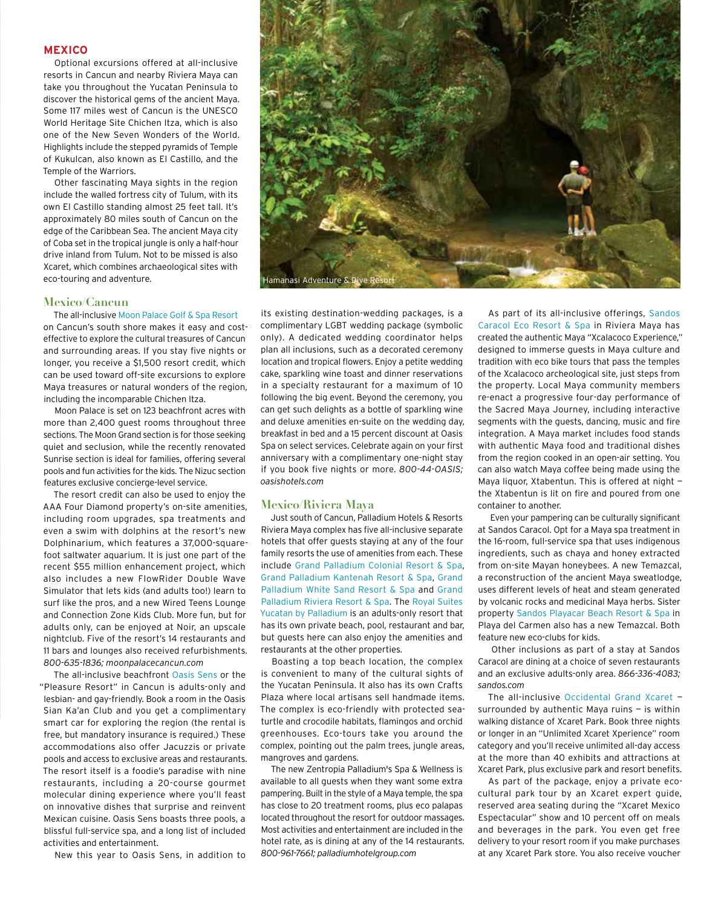## **Mexico**

Optional excursions offered at all-inclusive resorts in Cancun and nearby Riviera Maya can take you throughout the Yucatan Peninsula to discover the historical gems of the ancient Maya. Some 117 miles west of Cancun is the UNESCO World Heritage Site Chichen Itza, which is also one of the New Seven Wonders of the World. Highlights include the stepped pyramids of Temple of Kukulcan, also known as El Castillo, and the Temple of the Warriors.

Other fascinating Maya sights in the region include the walled fortress city of Tulum, with its own El Castillo standing almost 25 feet tall. It's approximately 80 miles south of Cancun on the edge of the Caribbean Sea. The ancient Maya city of Coba set in the tropical jungle is only a half-hour drive inland from Tulum. Not to be missed is also Xcaret, which combines archaeological sites with eco-touring and adventure.

#### **Mexico/Cancun**

The all-inclusive Moon Palace Golf & Spa Resort

on Cancun's south shore makes it easy and costeffective to explore the cultural treasures of Cancun and surrounding areas. If you stay five nights or longer, you receive a \$1,500 resort credit, which can be used toward off-site excursions to explore Maya treasures or natural wonders of the region, including the incomparable Chichen Itza.

Moon Palace is set on 123 beachfront acres with more than 2,400 guest rooms throughout three sections. The Moon Grand section is for those seeking quiet and seclusion, while the recently renovated Sunrise section is ideal for families, offering several pools and fun activities for the kids. The Nizuc section features exclusive concierge-level service.

The resort credit can also be used to enjoy the AAA Four Diamond property's on-site amenities, including room upgrades, spa treatments and even a swim with dolphins at the resort's new Dolphinarium, which features a 37,000-squarefoot saltwater aquarium. It is just one part of the recent \$55 million enhancement project, which also includes a new FlowRider Double Wave Simulator that lets kids (and adults too!) learn to surf like the pros, and a new Wired Teens Lounge and Connection Zone Kids Club. More fun, but for adults only, can be enjoyed at Noir, an upscale nightclub. Five of the resort's 14 restaurants and 11 bars and lounges also received refurbishments. *800-635-1836; moonpalacecancun.com*

The all-inclusive beachfront Oasis Sens or the "Pleasure Resort" in Cancun is adults-only and lesbian- and gay-friendly. Book a room in the Oasis Sian Ka'an Club and you get a complimentary smart car for exploring the region (the rental is free, but mandatory insurance is required.) These accommodations also offer Jacuzzis or private pools and access to exclusive areas and restaurants. The resort itself is a foodie's paradise with nine restaurants, including a 20-course gourmet molecular dining experience where you'll feast on innovative dishes that surprise and reinvent Mexican cuisine. Oasis Sens boasts three pools, a blissful full-service spa, and a long list of included activities and entertainment.

New this year to Oasis Sens, in addition to



its existing destination-wedding packages, is a complimentary LGBT wedding package (symbolic only). A dedicated wedding coordinator helps plan all inclusions, such as a decorated ceremony location and tropical flowers. Enjoy a petite wedding cake, sparkling wine toast and dinner reservations in a specialty restaurant for a maximum of 10 following the big event. Beyond the ceremony, you can get such delights as a bottle of sparkling wine and deluxe amenities en-suite on the wedding day, breakfast in bed and a 15 percent discount at Oasis Spa on select services. Celebrate again on your first anniversary with a complimentary one-night stay if you book five nights or more. *800-44-OASIS; oasishotels.com* 

#### **Mexico/Riviera Maya**

Just south of Cancun, Palladium Hotels & Resorts Riviera Maya complex has five all-inclusive separate hotels that offer guests staying at any of the four family resorts the use of amenities from each. These include Grand Palladium Colonial Resort & Spa, Grand Palladium Kantenah Resort & Spa, Grand Palladium White Sand Resort & Spa and Grand Palladium Riviera Resort & Spa. The Royal Suites Yucatan by Palladium is an adults-only resort that has its own private beach, pool, restaurant and bar, but guests here can also enjoy the amenities and restaurants at the other properties.

Boasting a top beach location, the complex is convenient to many of the cultural sights of the Yucatan Peninsula. It also has its own Crafts Plaza where local artisans sell handmade items. The complex is eco-friendly with protected seaturtle and crocodile habitats, flamingos and orchid greenhouses. Eco-tours take you around the complex, pointing out the palm trees, jungle areas, mangroves and gardens.

The new Zentropia Palladium's Spa & Wellness is available to all guests when they want some extra pampering. Built in the style of a Maya temple, the spa has close to 20 treatment rooms, plus eco palapas located throughout the resort for outdoor massages. Most activities and entertainment are included in the hotel rate, as is dining at any of the 14 restaurants. *800-961-7661; palladiumhotelgroup.com*

As part of its all-inclusive offerings, Sandos Caracol Eco Resort & Spa in Riviera Maya has created the authentic Maya "Xcalacoco Experience," designed to immerse guests in Maya culture and tradition with eco bike tours that pass the temples of the Xcalacoco archeological site, just steps from the property. Local Maya community members re-enact a progressive four-day performance of the Sacred Maya Journey, including interactive segments with the guests, dancing, music and fire integration. A Maya market includes food stands with authentic Maya food and traditional dishes from the region cooked in an open-air setting. You can also watch Maya coffee being made using the Maya liquor, Xtabentun. This is offered at night the Xtabentun is lit on fire and poured from one container to another.

 Even your pampering can be culturally significant at Sandos Caracol. Opt for a Maya spa treatment in the 16-room, full-service spa that uses indigenous ingredients, such as chaya and honey extracted from on-site Mayan honeybees. A new Temazcal, a reconstruction of the ancient Maya sweatlodge, uses different levels of heat and steam generated by volcanic rocks and medicinal Maya herbs. Sister property Sandos Playacar Beach Resort & Spa in Playa del Carmen also has a new Temazcal. Both feature new eco-clubs for kids.

 Other inclusions as part of a stay at Sandos Caracol are dining at a choice of seven restaurants and an exclusive adults-only area. *866-336-4083; sandos.com*

The all-inclusive Occidental Grand Xcaret surrounded by authentic Maya ruins — is within walking distance of Xcaret Park. Book three nights or longer in an "Unlimited Xcaret Xperience" room category and you'll receive unlimited all-day access at the more than 40 exhibits and attractions at Xcaret Park, plus exclusive park and resort benefits.

As part of the package, enjoy a private ecocultural park tour by an Xcaret expert guide, reserved area seating during the "Xcaret Mexico Espectacular" show and 10 percent off on meals and beverages in the park. You even get free delivery to your resort room if you make purchases at any Xcaret Park store. You also receive voucher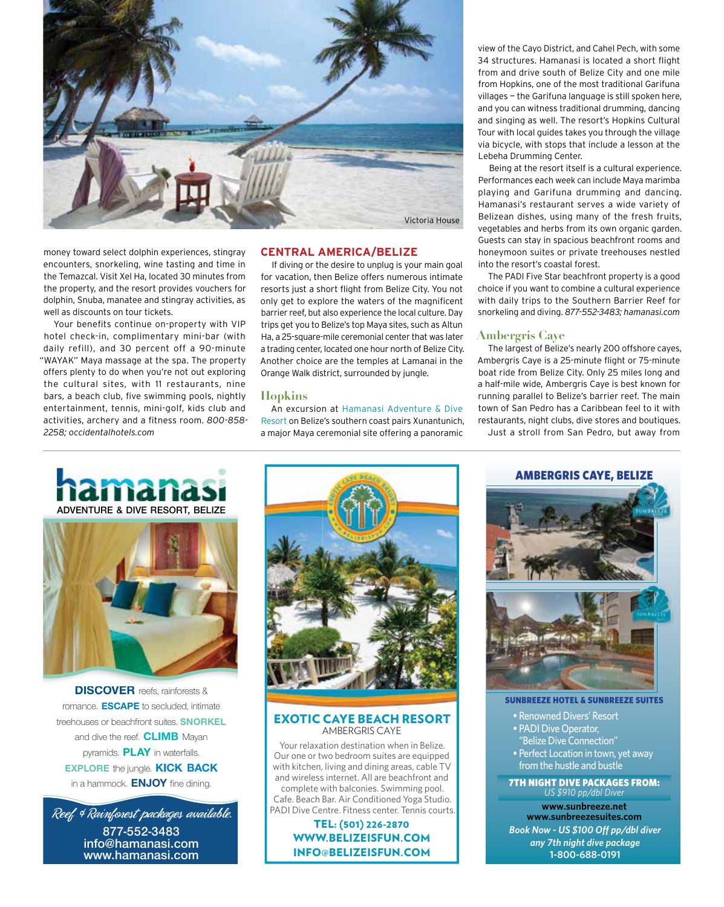

money toward select dolphin experiences, stingray encounters, snorkeling, wine tasting and time in the Temazcal. Visit Xel Ha, located 30 minutes from the property, and the resort provides vouchers for dolphin, Snuba, manatee and stingray activities, as well as discounts on tour tickets.

Your benefits continue on-property with VIP hotel check-in, complimentary mini-bar (with daily refill), and 30 percent off a 90-minute "WAYAK" Maya massage at the spa. The property offers plenty to do when you're not out exploring the cultural sites, with 11 restaurants, nine bars, a beach club, five swimming pools, nightly entertainment, tennis, mini-golf, kids club and activities, archery and a fitness room. *800-858- 2258; occidentalhotels.com* 

## **Central America/Belize**

If diving or the desire to unplug is your main goal for vacation, then Belize offers numerous intimate resorts just a short flight from Belize City. You not only get to explore the waters of the magnificent barrier reef, but also experience the local culture. Day trips get you to Belize's top Maya sites, such as Altun Ha, a 25-square-mile ceremonial center that was later a trading center, located one hour north of Belize City. Another choice are the temples at Lamanai in the Orange Walk district, surrounded by jungle.

## **Hopkins**

An excursion at Hamanasi Adventure & Dive Resort on Belize's southern coast pairs Xunantunich, a major Maya ceremonial site offering a panoramic

view of the Cayo District, and Cahel Pech, with some 34 structures. Hamanasi is located a short flight from and drive south of Belize City and one mile from Hopkins, one of the most traditional Garifuna villages — the Garifuna language is still spoken here, and you can witness traditional drumming, dancing and singing as well. The resort's Hopkins Cultural Tour with local guides takes you through the village via bicycle, with stops that include a lesson at the Lebeha Drumming Center.

Being at the resort itself is a cultural experience. Performances each week can include Maya marimba playing and Garifuna drumming and dancing. Hamanasi's restaurant serves a wide variety of Belizean dishes, using many of the fresh fruits, vegetables and herbs from its own organic garden. Guests can stay in spacious beachfront rooms and honeymoon suites or private treehouses nestled into the resort's coastal forest.

The PADI Five Star beachfront property is a good choice if you want to combine a cultural experience with daily trips to the Southern Barrier Reef for snorkeling and diving. *877-552-3483; hamanasi.com* 

## **Ambergris Caye**

The largest of Belize's nearly 200 offshore cayes, Ambergris Caye is a 25-minute flight or 75-minute boat ride from Belize City. Only 25 miles long and a half-mile wide, Ambergris Caye is best known for running parallel to Belize's barrier reef. The main town of San Pedro has a Caribbean feel to it with restaurants, night clubs, dive stores and boutiques. Just a stroll from San Pedro, but away from





**DISCOVER** reefs, rainforests & romance. **ESCAPE** to secluded, intimate treehouses or beachfront suites. **SNORKEL** and dive the reef. **CLIMB** Mayan pyramids. **PLAY** in waterfalls. **EXPLORE** the jungle. **KICK BACK** in a hammock. **ENJOY** fine dining.

Reef & Rainforest packages available. **877-552-3483 info@hamanasi.com www.hamanasi.com**



#### EXOTIC CAYE BEACH RESORT AMBERGRIS CAYE

Your relaxation destination when in Belize. Our one or two bedroom suites are equipped with kitchen, living and dining areas, cable TV and wireless internet. All are beachfront and complete with balconies. Swimming pool. Cafe. Beach Bar. Air Conditioned Yoga Studio. PADI Dive Centre. Fitness center. Tennis courts

> TEL: (501) 226-2870 WWW.BELIZEISFUN.COM INFO@BELIZEISFUN.COM





SUNBREEZE HOTEL & SUNBREEZE SUITES

• Renowned Divers' Resort • PADI Dive Operator, "Belize Dive Connection" • Perfect Location in town, yet away from the hustle and bustle

7TH NIGHT DIVE PACKAGES FROM: *US \$910 pp/dbl Diver*

*Book Now - US \$100 Off pp/dbl diver any 7th night dive package* **1-800-688-0191 www.sunbreeze.net www.sunbreezesuites.com**